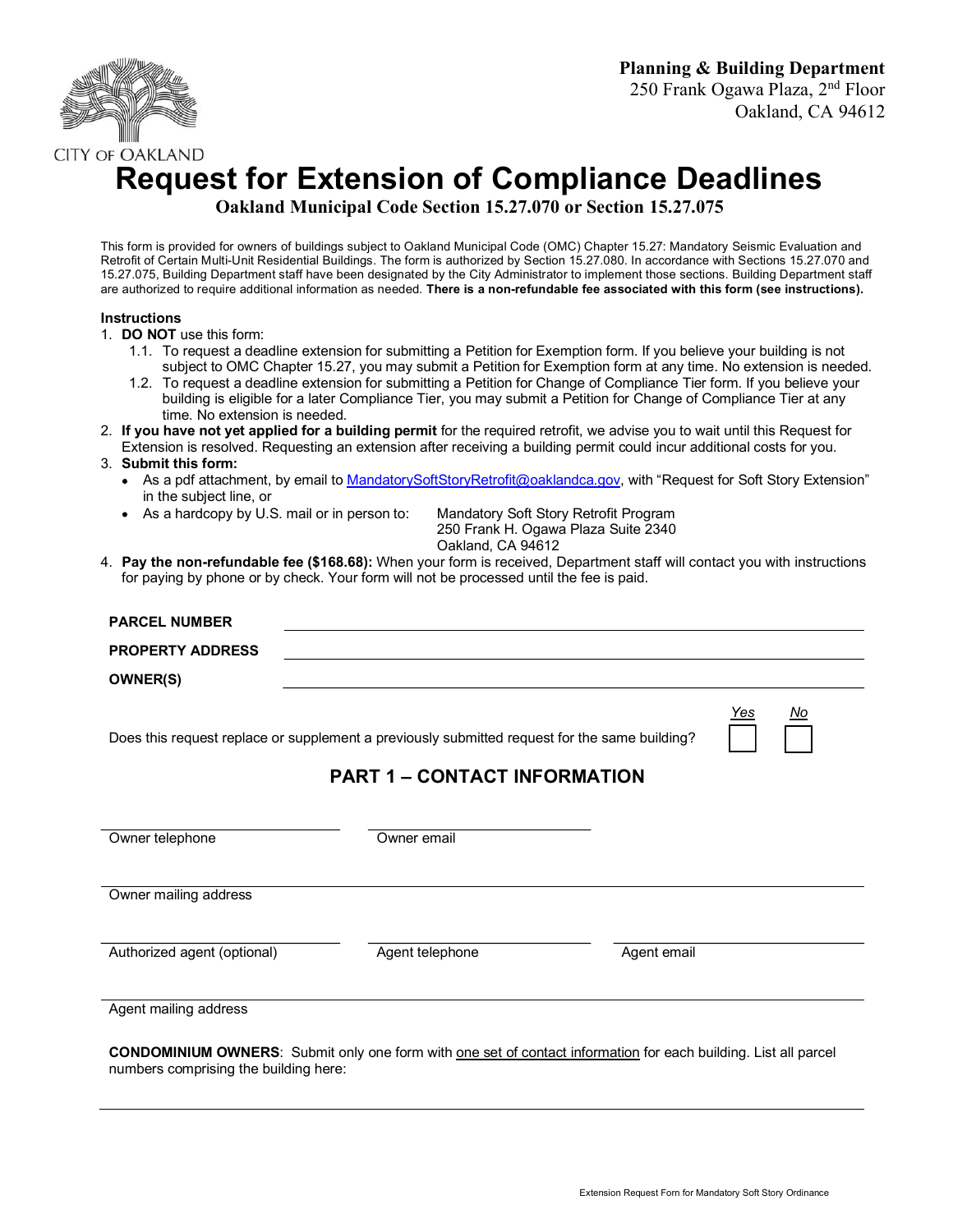

# CITY OF OAKLAND<br>Request for Extension of Compliance Deadlines

Oakland Municipal Code Section 15.27.070 or Section 15.27.075

This form is provided for owners of buildings subject to Oakland Municipal Code (OMC) Chapter 15.27: Mandatory Seismic Evaluation and Retrofit of Certain Multi-Unit Residential Buildings. The form is authorized by Section 15.27.080. In accordance with Sections 15.27.070 and 15.27.075, Building Department staff have been designated by the City Administrator to implement those sections. Building Department staff are authorized to require additional information as needed. There is a non-refundable fee associated with this form (see instructions).

### **Instructions**

- 1. DO NOT use this form:
	- 1.1. To request a deadline extension for submitting a Petition for Exemption form. If you believe your building is not subject to OMC Chapter 15.27, you may submit a Petition for Exemption form at any time. No extension is needed.
	- 1.2. To request a deadline extension for submitting a Petition for Change of Compliance Tier form. If you believe your building is eligible for a later Compliance Tier, you may submit a Petition for Change of Compliance Tier at any time. No extension is needed.
- 2. If you have not yet applied for a building permit for the required retrofit, we advise you to wait until this Request for Extension is resolved. Requesting an extension after receiving a building permit could incur additional costs for you.

#### 3. Submit this form:

- As a pdf attachment, by email to MandatorySoftStoryRetrofit@oaklandca.gov, with "Request for Soft Story Extension" in the subject line, or
- As a hardcopy by U.S. mail or in person to: Mandatory Soft Story Retrofit Program

250 Frank H. Ogawa Plaza Suite 2340 Oakland, CA 94612

4. Pay the non-refundable fee (\$**168.68**): When your form is received, Department staff will contact you with instructions for paying by phone or by check. Your form will not be processed until the fee is paid.

| <b>PARCEL NUMBER</b>        |                                                                                                                                      |                    |
|-----------------------------|--------------------------------------------------------------------------------------------------------------------------------------|--------------------|
| <b>PROPERTY ADDRESS</b>     |                                                                                                                                      |                    |
| <b>OWNER(S)</b>             |                                                                                                                                      |                    |
|                             | Does this request replace or supplement a previously submitted request for the same building?<br><b>PART 1 - CONTACT INFORMATION</b> | $Yes$<br><u>No</u> |
| Owner telephone             | Owner email                                                                                                                          |                    |
| Owner mailing address       |                                                                                                                                      |                    |
| Authorized agent (optional) | Agent telephone<br>Agent email                                                                                                       |                    |

Agent mailing address

CONDOMINIUM OWNERS: Submit only one form with one set of contact information for each building. List all parcel numbers comprising the building here: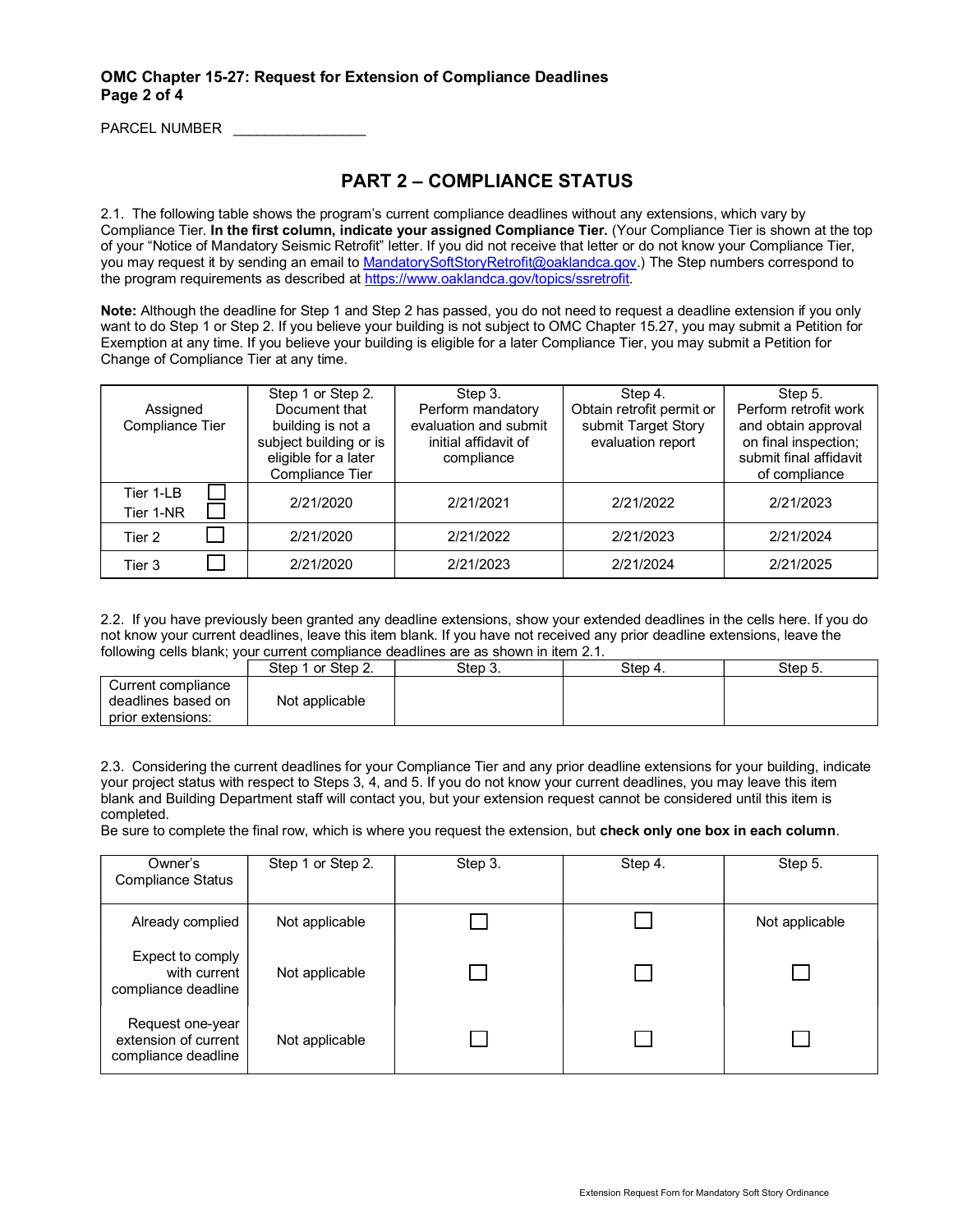## OMC Chapter 15-27: Request for Extension of Compliance Deadlines Page 2 of 4

PARCEL NUMBER

# PART 2 – COMPLIANCE STATUS

2.1. The following table shows the program's current compliance deadlines without any extensions, which vary by Compliance Tier. In the first column, indicate your assigned Compliance Tier. (Your Compliance Tier is shown at the top of your "Notice of Mandatory Seismic Retrofit" letter. If you did not receive that letter or do not know your Compliance Tier, you may request it by sending an email to MandatorySoftStoryRetrofit@oaklandca.gov.) The Step numbers correspond to the program requirements as described at https://www.oaklandca.gov/topics/ssretrofit.

Note: Although the deadline for Step 1 and Step 2 has passed, you do not need to request a deadline extension if you only want to do Step 1 or Step 2. If you believe your building is not subject to OMC Chapter 15.27, you may submit a Petition for Exemption at any time. If you believe your building is eligible for a later Compliance Tier, you may submit a Petition for Change of Compliance Tier at any time.

|                             | Step 1 or Step 2.                       | Step 3.                                    | Step 4.                                          | Step 5.                                      |
|-----------------------------|-----------------------------------------|--------------------------------------------|--------------------------------------------------|----------------------------------------------|
| Assigned<br>Compliance Tier | Document that<br>building is not a      | Perform mandatory<br>evaluation and submit | Obtain retrofit permit or<br>submit Target Story | Perform retrofit work<br>and obtain approval |
|                             | subject building or is                  | initial affidavit of                       | evaluation report                                | on final inspection;                         |
|                             | eligible for a later<br>Compliance Tier | compliance                                 |                                                  | submit final affidavit<br>of compliance      |
| Tier 1-LB<br>Tier 1-NR      | 2/21/2020                               | 2/21/2021                                  | 2/21/2022                                        | 2/21/2023                                    |
| Tier 2                      | 2/21/2020                               | 2/21/2022                                  | 2/21/2023                                        | 2/21/2024                                    |
| Tier 3                      | 2/21/2020                               | 2/21/2023                                  | 2/21/2024                                        | 2/21/2025                                    |

2.2. If you have previously been granted any deadline extensions, show your extended deadlines in the cells here. If you do not know your current deadlines, leave this item blank. If you have not received any prior deadline extensions, leave the following cells blank; your current compliance deadlines are as shown in item 2.1.

|                                                               | Step 1 or Step 2. | Step 3. | Step 4. | Step 5. |
|---------------------------------------------------------------|-------------------|---------|---------|---------|
| Current compliance<br>deadlines based on<br>prior extensions: | Not applicable    |         |         |         |

2.3. Considering the current deadlines for your Compliance Tier and any prior deadline extensions for your building, indicate your project status with respect to Steps 3, 4, and 5. If you do not know your current deadlines, you may leave this item blank and Building Department staff will contact you, but your extension request cannot be considered until this item is completed.

Be sure to complete the final row, which is where you request the extension, but check only one box in each column.

| Owner's<br>Compliance Status                                    | Step 1 or Step 2. | Step 3. | Step 4. | Step 5.        |
|-----------------------------------------------------------------|-------------------|---------|---------|----------------|
| Already complied                                                | Not applicable    |         |         | Not applicable |
| Expect to comply<br>with current<br>compliance deadline         | Not applicable    |         |         |                |
| Request one-year<br>extension of current<br>compliance deadline | Not applicable    |         |         |                |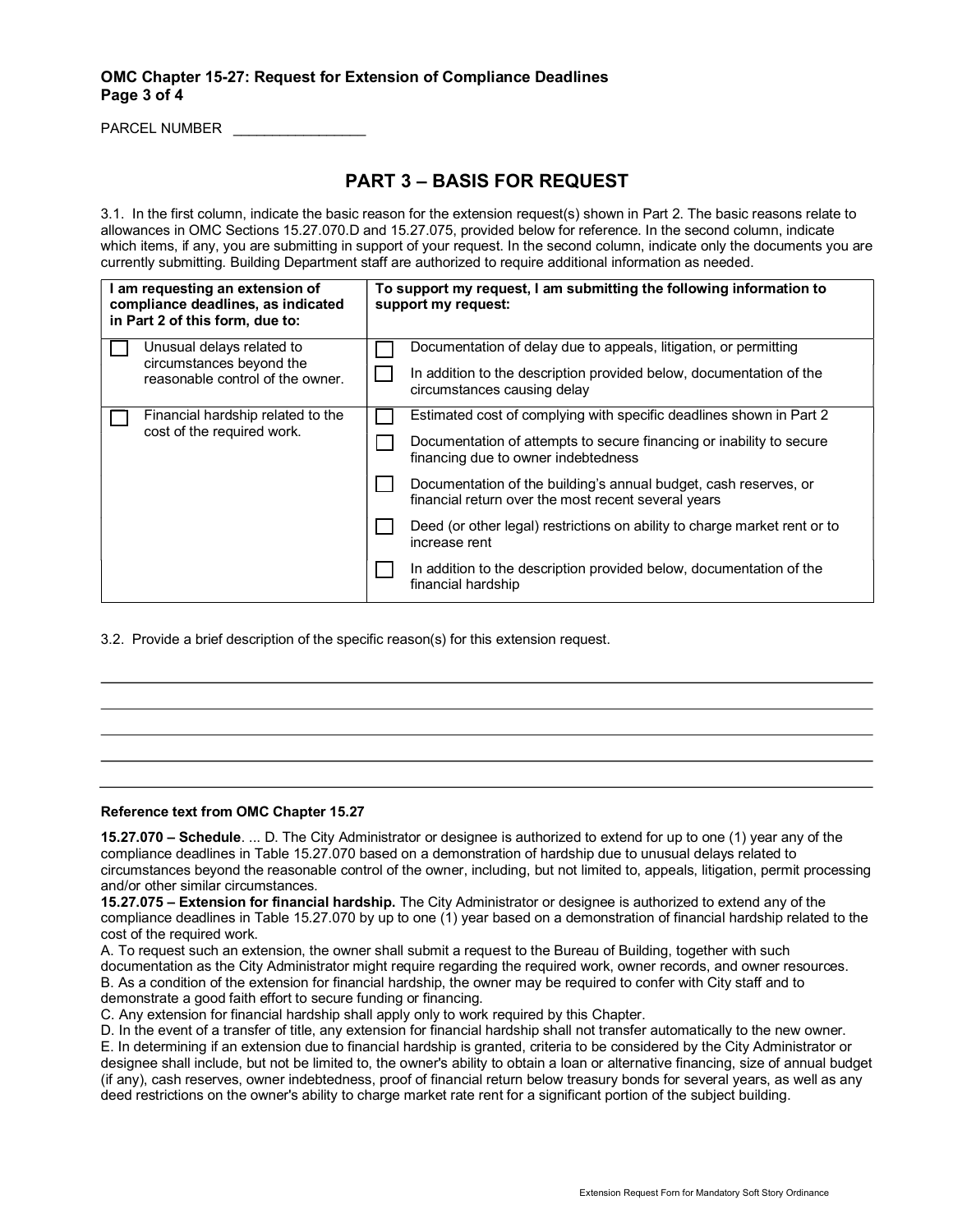## OMC Chapter 15-27: Request for Extension of Compliance Deadlines Page 3 of 4

PARCEL NUMBER \_\_\_\_\_\_\_\_\_\_\_\_\_\_\_\_\_

# PART 3 – BASIS FOR REQUEST

3.1. In the first column, indicate the basic reason for the extension request(s) shown in Part 2. The basic reasons relate to allowances in OMC Sections 15.27.070.D and 15.27.075, provided below for reference. In the second column, indicate which items, if any, you are submitting in support of your request. In the second column, indicate only the documents you are currently submitting. Building Department staff are authorized to require additional information as needed.

| I am requesting an extension of<br>compliance deadlines, as indicated<br>in Part 2 of this form, due to: | To support my request, I am submitting the following information to<br>support my request:                                                                                         |  |  |  |
|----------------------------------------------------------------------------------------------------------|------------------------------------------------------------------------------------------------------------------------------------------------------------------------------------|--|--|--|
| Unusual delays related to<br>circumstances beyond the<br>reasonable control of the owner.                | Documentation of delay due to appeals, litigation, or permitting<br>In addition to the description provided below, documentation of the<br>circumstances causing delay             |  |  |  |
| Financial hardship related to the<br>cost of the required work.                                          | Estimated cost of complying with specific deadlines shown in Part 2<br>Documentation of attempts to secure financing or inability to secure<br>financing due to owner indebtedness |  |  |  |
|                                                                                                          | Documentation of the building's annual budget, cash reserves, or<br>financial return over the most recent several years                                                            |  |  |  |
|                                                                                                          | Deed (or other legal) restrictions on ability to charge market rent or to<br>increase rent                                                                                         |  |  |  |
|                                                                                                          | In addition to the description provided below, documentation of the<br>financial hardship                                                                                          |  |  |  |

3.2. Provide a brief description of the specific reason(s) for this extension request.

#### Reference text from OMC Chapter 15.27

15.27.070 – Schedule. ... D. The City Administrator or designee is authorized to extend for up to one (1) year any of the compliance deadlines in Table 15.27.070 based on a demonstration of hardship due to unusual delays related to circumstances beyond the reasonable control of the owner, including, but not limited to, appeals, litigation, permit processing and/or other similar circumstances.

15.27.075 – Extension for financial hardship. The City Administrator or designee is authorized to extend any of the compliance deadlines in Table 15.27.070 by up to one (1) year based on a demonstration of financial hardship related to the cost of the required work.

A. To request such an extension, the owner shall submit a request to the Bureau of Building, together with such documentation as the City Administrator might require regarding the required work, owner records, and owner resources. B. As a condition of the extension for financial hardship, the owner may be required to confer with City staff and to demonstrate a good faith effort to secure funding or financing.

C. Any extension for financial hardship shall apply only to work required by this Chapter.

D. In the event of a transfer of title, any extension for financial hardship shall not transfer automatically to the new owner. E. In determining if an extension due to financial hardship is granted, criteria to be considered by the City Administrator or designee shall include, but not be limited to, the owner's ability to obtain a loan or alternative financing, size of annual budget (if any), cash reserves, owner indebtedness, proof of financial return below treasury bonds for several years, as well as any deed restrictions on the owner's ability to charge market rate rent for a significant portion of the subject building.